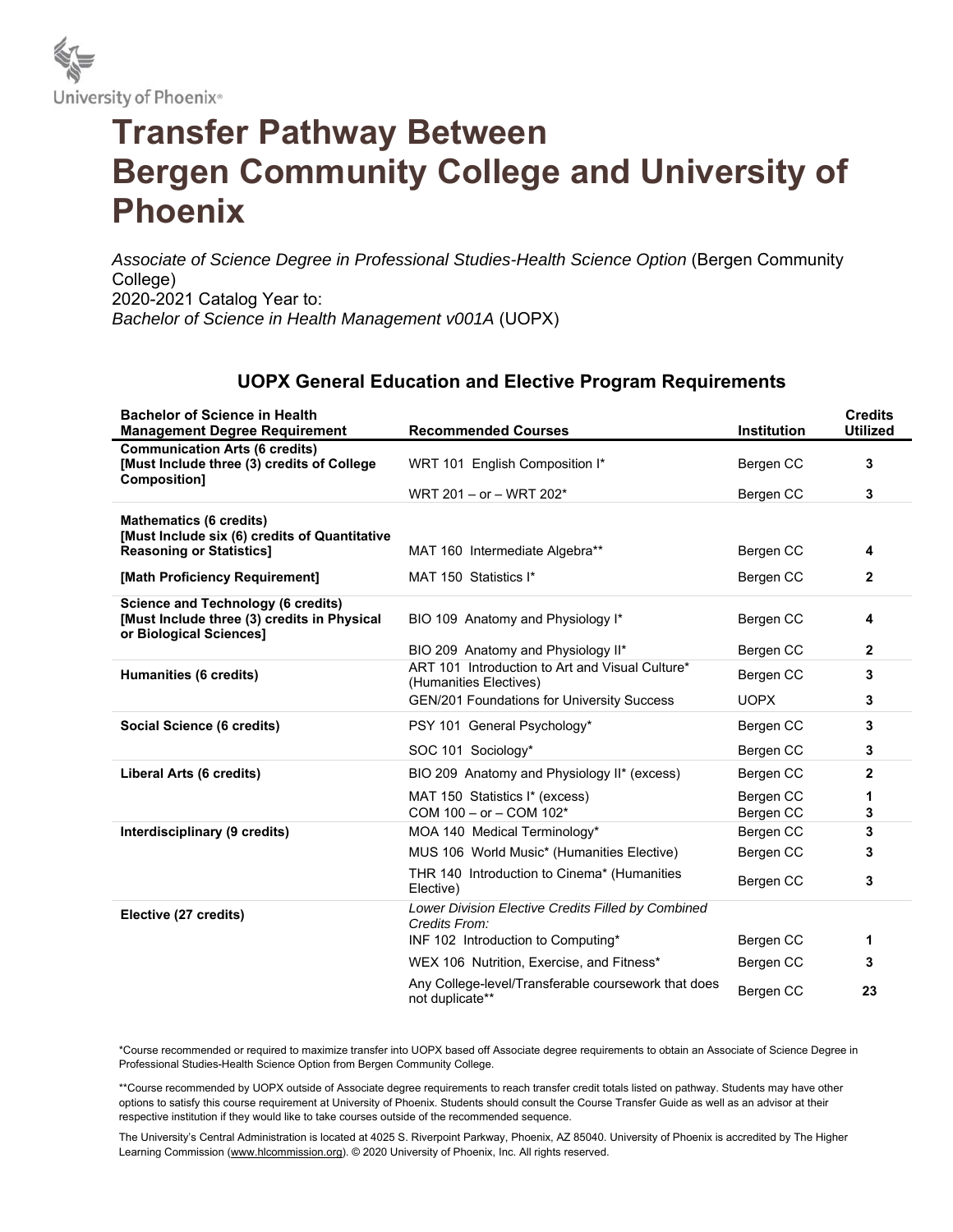

## **Transfer Pathway Between Bergen Community College and University of Phoenix**

*Associate of Science Degree in Professional Studies-Health Science Option* (Bergen Community College) 2020-2021 Catalog Year to: *Bachelor of Science in Health Management v001A* (UOPX)

## **UOPX General Education and Elective Program Requirements**

| <b>Bachelor of Science in Health</b>                                                                                |                                                                           |                    | <b>Credits</b>  |
|---------------------------------------------------------------------------------------------------------------------|---------------------------------------------------------------------------|--------------------|-----------------|
| <b>Management Degree Requirement</b>                                                                                | <b>Recommended Courses</b>                                                | <b>Institution</b> | <b>Utilized</b> |
| <b>Communication Arts (6 credits)</b><br>[Must Include three (3) credits of College<br>Composition]                 | WRT 101 English Composition I*                                            | Bergen CC          | 3               |
|                                                                                                                     | WRT 201 - or - WRT 202*                                                   | Bergen CC          | 3               |
| <b>Mathematics (6 credits)</b><br>[Must Include six (6) credits of Quantitative                                     |                                                                           |                    |                 |
| <b>Reasoning or Statistics]</b>                                                                                     | MAT 160 Intermediate Algebra**                                            | Bergen CC          | 4               |
| [Math Proficiency Requirement]                                                                                      | MAT 150 Statistics I*                                                     | Bergen CC          | 2               |
| <b>Science and Technology (6 credits)</b><br>[Must Include three (3) credits in Physical<br>or Biological Sciences] | BIO 109 Anatomy and Physiology I*                                         | Bergen CC          | 4               |
|                                                                                                                     | BIO 209 Anatomy and Physiology II*                                        | Bergen CC          | 2               |
| Humanities (6 credits)                                                                                              | ART 101 Introduction to Art and Visual Culture*<br>(Humanities Electives) | Bergen CC          | 3               |
|                                                                                                                     | <b>GEN/201 Foundations for University Success</b>                         | <b>UOPX</b>        | 3               |
| Social Science (6 credits)                                                                                          | PSY 101 General Psychology*                                               | Bergen CC          | 3               |
|                                                                                                                     | SOC 101 Sociology*                                                        | Bergen CC          | 3               |
| Liberal Arts (6 credits)                                                                                            | BIO 209 Anatomy and Physiology II* (excess)                               | Bergen CC          | $\mathbf{2}$    |
|                                                                                                                     | MAT 150 Statistics I* (excess)                                            | Bergen CC          | 1               |
|                                                                                                                     | COM 100 - or - COM 102*                                                   | Bergen CC          | 3               |
| Interdisciplinary (9 credits)                                                                                       | MOA 140 Medical Terminology*                                              | Bergen CC          | 3               |
|                                                                                                                     | MUS 106 World Music* (Humanities Elective)                                | Bergen CC          | 3               |
|                                                                                                                     | THR 140 Introduction to Cinema* (Humanities<br>Elective)                  | Bergen CC          | 3               |
| Elective (27 credits)                                                                                               | Lower Division Elective Credits Filled by Combined<br>Credits From:       |                    |                 |
|                                                                                                                     | INF 102 Introduction to Computing*                                        | Bergen CC          | 1               |
|                                                                                                                     | WEX 106 Nutrition, Exercise, and Fitness*                                 | Bergen CC          | 3               |
|                                                                                                                     | Any College-level/Transferable coursework that does<br>not duplicate**    | Bergen CC          | 23              |

\*Course recommended or required to maximize transfer into UOPX based off Associate degree requirements to obtain an Associate of Science Degree in Professional Studies-Health Science Option from Bergen Community College.

\*\*Course recommended by UOPX outside of Associate degree requirements to reach transfer credit totals listed on pathway. Students may have other options to satisfy this course requirement at University of Phoenix. Students should consult the Course Transfer Guide as well as an advisor at their respective institution if they would like to take courses outside of the recommended sequence.

The University's Central Administration is located at 4025 S. Riverpoint Parkway, Phoenix, AZ 85040. University of Phoenix is accredited by The Higher Learning Commission (www.hlcommission.org). © 2020 University of Phoenix, Inc. All rights reserved.